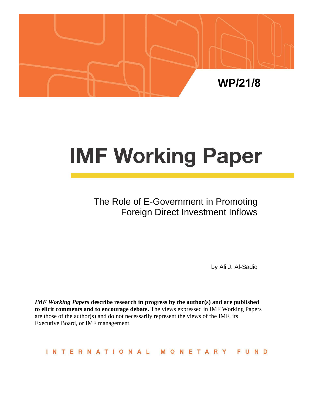

# **IMF Working Paper**

# The Role of E-Government in Promoting Foreign Direct Investment Inflows

by Ali J. Al-Sadiq

*IMF Working Papers* **describe research in progress by the author(s) and are published to elicit comments and to encourage debate.** The views expressed in IMF Working Papers are those of the author(s) and do not necessarily represent the views of the IMF, its Executive Board, or IMF management.

INTERNATIONAL MONETARY FUND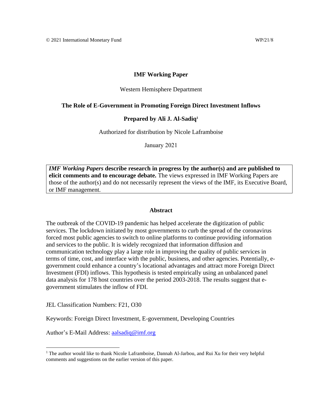#### **IMF Working Paper**

#### Western Hemisphere Department

#### **The Role of E-Government in Promoting Foreign Direct Investment Inflows**

#### **Prepared by Ali J. Al-Sadiq<sup>1</sup>**

Authorized for distribution by Nicole Laframboise

January 2021

*IMF Working Papers* **describe research in progress by the author(s) and are published to elicit comments and to encourage debate.** The views expressed in IMF Working Papers are those of the author(s) and do not necessarily represent the views of the IMF, its Executive Board, or IMF management.

#### **Abstract**

<span id="page-1-0"></span>The outbreak of the COVID-19 pandemic has helped accelerate the digitization of public services. The lockdown initiated by most governments to curb the spread of the coronavirus forced most public agencies to switch to online platforms to continue providing information and services to the public. It is widely recognized that information diffusion and communication technology play a large role in improving the quality of public services in terms of time, cost, and interface with the public, business, and other agencies. Potentially, egovernment could enhance a country's locational advantages and attract more Foreign Direct Investment (FDI) inflows. This hypothesis is tested empirically using an unbalanced panel data analysis for 178 host countries over the period 2003-2018. The results suggest that egovernment stimulates the inflow of FDI.

JEL Classification Numbers: F21, O30

Keywords: Foreign Direct Investment, E-government, Developing Countries

Author's E-Mail Address: [aalsadiq@imf.org](mailto:aalsadiq@imf.org)

<sup>&</sup>lt;sup>1</sup> The author would like to thank Nicole Laframboise, Dannah Al-Jarbou, and Rui Xu for their very helpful comments and suggestions on the earlier version of this paper.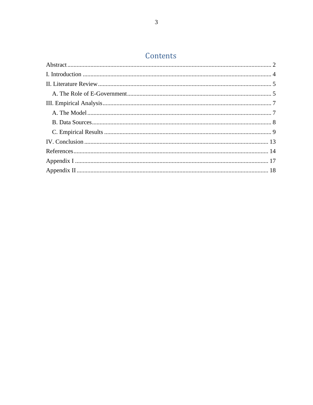# Contents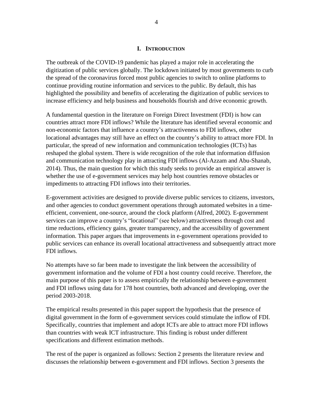#### **I. INTRODUCTION**

<span id="page-3-0"></span>The outbreak of the COVID-19 pandemic has played a major role in accelerating the digitization of public services globally. The lockdown initiated by most governments to curb the spread of the coronavirus forced most public agencies to switch to online platforms to continue providing routine information and services to the public. By default, this has highlighted the possibility and benefits of accelerating the digitization of public services to increase efficiency and help business and households flourish and drive economic growth.

A fundamental question in the literature on Foreign Direct Investment (FDI) is how can countries attract more FDI inflows? While the literature has identified several economic and non-economic factors that influence a country's attractiveness to FDI inflows, other locational advantages may still have an effect on the country's ability to attract more FDI. In particular, the spread of new information and communication technologies (ICTs) has reshaped the global system. There is wide recognition of the role that information diffusion and communication technology play in attracting FDI inflows (Al-Azzam and Abu-Shanab, 2014). Thus, the main question for which this study seeks to provide an empirical answer is whether the use of e-government services may help host countries remove obstacles or impediments to attracting FDI inflows into their territories.

E-government activities are designed to provide diverse public services to citizens, investors, and other agencies to conduct government operations through automated websites in a timeefficient, convenient, one-source, around the clock platform (Alfred, 2002). E-government services can improve a country's "locational" (see below) attractiveness through cost and time reductions, efficiency gains, greater transparency, and the accessibility of government information. This paper argues that improvements in e-government operations provided to public services can enhance its overall locational attractiveness and subsequently attract more FDI inflows.

No attempts have so far been made to investigate the link between the accessibility of government information and the volume of FDI a host country could receive. Therefore, the main purpose of this paper is to assess empirically the relationship between e-government and FDI inflows using data for 178 host countries, both advanced and developing, over the period 2003-2018.

The empirical results presented in this paper support the hypothesis that the presence of digital government in the form of e-government services could stimulate the inflow of FDI. Specifically, countries that implement and adopt ICTs are able to attract more FDI inflows than countries with weak ICT infrastructure. This finding is robust under different specifications and different estimation methods.

The rest of the paper is organized as follows: Section 2 presents the literature review and discusses the relationship between e-government and FDI inflows. Section 3 presents the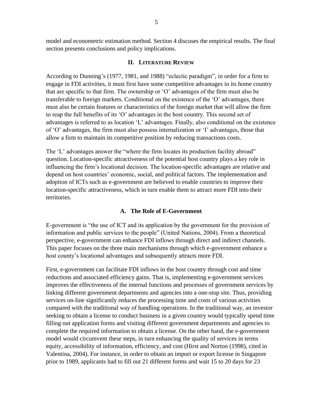model and econometric estimation method. Section 4 discuses the empirical results. The final section presents conclusions and policy implications.

#### **II. LITERATURE REVIEW**

<span id="page-4-0"></span>According to Dunning's (1977, 1981, and 1988) "eclectic paradigm", in order for a firm to engage in FDI activities, it must first have some competitive advantages in its home country that are specific to that firm. The ownership or 'O' advantages of the firm must also be transferable to foreign markets. Conditional on the existence of the 'O' advantages, there must also be certain features or characteristics of the foreign market that will allow the firm to reap the full benefits of its 'O' advantages in the host country. This second set of advantages is referred to as location 'L' advantages. Finally, also conditional on the existence of 'O' advantages, the firm must also possess internalization or 'I' advantages, those that allow a firm to maintain its competitive position by reducing transactions costs.

The 'L' advantages answer the "where the firm locates its production facility abroad" question. Location-specific attractiveness of the potential host country plays a key role in influencing the firm's locational decision. The location-specific advantages are relative and depend on host countries' economic, social, and political factors. The implementation and adoption of ICTs such as e-government are believed to enable countries to improve their location-specific attractiveness, which in turn enable them to attract more FDI into their territories.

#### **A. The Role of E-Government**

<span id="page-4-1"></span>E-government is "the use of ICT and its application by the government for the provision of information and public services to the people" (United Nations, 2004). From a theoretical perspective, e-government can enhance FDI inflows through direct and indirect channels. This paper focuses on the three main mechanisms through which e-government enhance a host county's locational advantages and subsequently attracts more FDI.

First, e-government can facilitate FDI inflows in the host country through cost and time reductions and associated efficiency gains. That is, implementing e-government services improves the effectiveness of the internal functions and processes of government services by linking different government departments and agencies into a one-stop site. Thus, providing services on-line significantly reduces the processing time and costs of various activities compared with the traditional way of handling operations. In the traditional way, an investor seeking to obtain a license to conduct business in a given country would typically spend time filling out application forms and visiting different government departments and agencies to complete the required information to obtain a license. On the other hand, the e-government model would circumvent these steps, in turn enhancing the quality of services in terms equity, accessibility of information, efficiency, and cost (Hirst and Norton (1998), cited in Valentina, 2004). For instance, in order to obtain an import or export license in Singapore prior to 1989, applicants had to fill out 21 different forms and wait 15 to 20 days for 23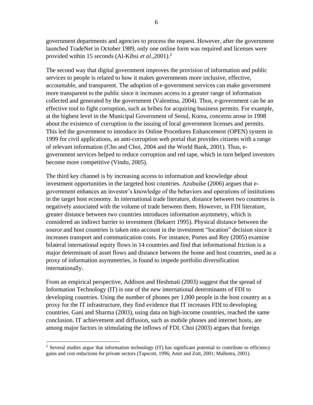government departments and agencies to process the request. However, after the government launched TradeNet in October 1989, only one online form was required and licenses were provided within 15 seconds (Al-Kibsi *et al*.,2001).<sup>2</sup>

The second way that digital government improves the provision of information and public services to people is related to how it makes governments more inclusive, effective, accountable, and transparent. The adoption of e-government services can make government more transparent to the public since it increases access to a greater range of information collected and generated by the government (Valentina, 2004). Thus, e-government can be an effective tool to fight corruption, such as bribes for acquiring business permits. For example, at the highest level in the Municipal Government of Seoul, Korea, concerns arose in 1998 about the existence of corruption in the issuing of local government licenses and permits. This led the government to introduce its Online Procedures Enhancement (OPEN) system in 1999 for civil applications, an anti-corruption web portal that provides citizens with a range of relevant information (Cho and Choi, 2004 and the World Bank, 2001). Thus, egovernment services helped to reduce corruption and red tape, which in turn helped investors become more competitive (Vindo, 2005).

The third key channel is by increasing access to information and knowledge about investment opportunities in the targeted host countries. Azubuike (2006) argues that egovernment enhances an investor's knowledge of the behaviors and operations of institutions in the target host economy. In international trade literature, distance between two countries is negatively associated with the volume of trade between them. However, in FDI literature, greater distance between two countries introduces information asymmetry, which is considered an indirect barrier to investment (Bekaert 1995). Physical distance between the source and host countries is taken into account in the investment "location" decision since it increases transport and communication costs. For instance, Portes and Rey (2005) examine bilateral international equity flows in 14 countries and find that informational friction is a major determinant of asset flows and distance between the home and host countries, used as a proxy of information asymmetries, is found to impede portfolio diversification internationally.

From an empirical perspective, Addison and Heshmati (2003) suggest that the spread of Information Technology (IT) is one of the new international determinants of FDI to developing countries. Using the number of phones per 1,000 people in the host country as a proxy for the IT infrastructure, they find evidence that IT increases FDI to developing countries. Gani and Sharma (2003), using data on high-income countries, reached the same conclusion. IT achievement and diffusion, such as mobile phones and internet hosts, are among major factors in stimulating the inflows of FDI. Choi (2003) argues that foreign

<sup>&</sup>lt;sup>2</sup> Several studies argue that information technology (IT) has significant potential to contribute to efficiency gains and cost reductions for private sectors (Tapscott, 1996; Amit and Zott, 2001; Malhotra, 2001).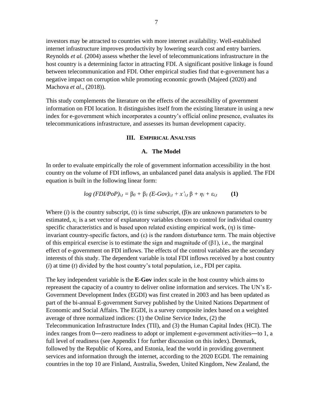investors may be attracted to countries with more internet availability. Well-established internet infrastructure improves productivity by lowering search cost and entry barriers. Reynolds *et al.* (2004) assess whether the level of telecommunications infrastructure in the host country is a determining factor in attracting FDI. A significant positive linkage is found between telecommunication and FDI. Other empirical studies find that e-government has a negative impact on corruption while promoting economic growth (Majeed (2020) and Machova *et al*., (2018)).

This study complements the literature on the effects of the accessibility of government information on FDI location. It distinguishes itself from the existing literature in using a new index for e-government which incorporates a country's official online presence, evaluates its telecommunications infrastructure, and assesses its human development capacity.

#### **III. EMPIRICAL ANALYSIS**

#### **A. The Model**

<span id="page-6-1"></span><span id="page-6-0"></span>In order to evaluate empirically the role of government information accessibility in the host country on the volume of FDI inflows, an unbalanced panel data analysis is applied. The FDI equation is built in the following linear form:

$$
log (FDI/PoP)_{i,t} = \beta_0 + \beta_1 (E-Gov)_{i,t} + x'_{i,t} \beta + \eta_i + \varepsilon_{i,t}
$$
 (1)

Where  $(i)$  is the country subscript,  $(t)$  is time subscript,  $(\beta)$ s are unknown parameters to be estimated, *xi,* is a set vector of explanatory variables chosen to control for individual country specific characteristics and is based upon related existing empirical work, (η) is timeinvariant country-specific factors, and  $(\varepsilon)$  is the random disturbance term. The main objective of this empirical exercise is to estimate the sign and magnitude of  $(\beta 1)$ , i.e., the marginal effect of e-government on FDI inflows. The effects of the control variables are the secondary interests of this study. The dependent variable is total FDI inflows received by a host country (*i*) at time (*t*) divided by the host country's total population, i.e., FDI per capita.

The key independent variable is the **E-Gov** index scale in the host country which aims to repreasent the capacity of a country to deliver online information and services. The UN's E-Government Development Index (EGDI) was first created in 2003 and has been updated as part of the bi-annual E-government Survey published by the United Nations Department of Economic and Social Affairs. The EGDI, is a survey composite index based on a weighted average of three normalized indices: (1) the Online Service Index, (2) the Telecommunication Infrastructure Index (TII), and (3) the Human Capital Index (HCI). The index ranges from 0—zero readiness to adopt or implement e-government activities—to 1, a full level of readiness (see Appendix I for further discussion on this index). Denmark, followed by the Republic of Korea, and Estonia, lead the world in providing government services and information through the internet, according to the 2020 EGDI. The remaining countries in the top 10 are Finland, Australia, Sweden, United Kingdom, New Zealand, the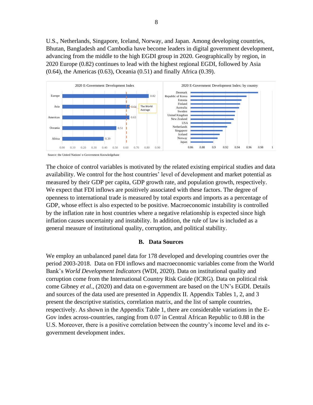U.S., Netherlands, Singapore, Iceland, Norway, and Japan. Among developing countries, Bhutan, Bangladesh and Cambodia have become leaders in digital government development, advancing from the middle to the high EGDI group in 2020. Geographically by region, in 2020 Europe (0.82) continues to lead with the highest regional EGDI, followed by Asia (0.64), the Americas (0.63), Oceania (0.51) and finally Africa (0.39).



Source: the United Nations' e-Government Knowledgebase

The choice of control variables is motivated by the related existing empirical studies and data availability. We control for the host countries' level of development and market potential as measured by their GDP per capita, GDP growth rate, and population growth, respectively. We expect that FDI inflows are positively associated with these factors. The degree of openness to international trade is measured by total exports and imports as a percentage of GDP, whose effect is also expected to be positive. Macroeconomic instability is controlled by the inflation rate in host countries where a negative relationship is expected since high inflation causes uncertainty and instability. In addition, the rule of law is included as a general measure of institutional quality, corruption, and political stability.

#### **B. Data Sources**

<span id="page-7-0"></span>We employ an unbalanced panel data for 178 developed and developing countries over the period 2003-2018. Data on FDI inflows and macroeconomic variables come from the World Bank's *World Development Indicators* (WDI, 2020). Data on institutional quality and corruption come from the International Country Risk Guide (ICRG). Data on political risk come Gibney *et al*., (2020) and data on e-government are based on the UN's EGDI. Details and sources of the data used are presented in Appendix II. Appendix Tables 1, 2, and 3 present the descriptive statistics, correlation matrix, and the list of sample countries, respectively. As shown in the Appendix Table 1, there are considerable variations in the E-Gov index across-countries, ranging from 0.07 in Central African Republic to 0.88 in the U.S. Moreover, there is a positive correlation between the country's income level and its egovernment development index.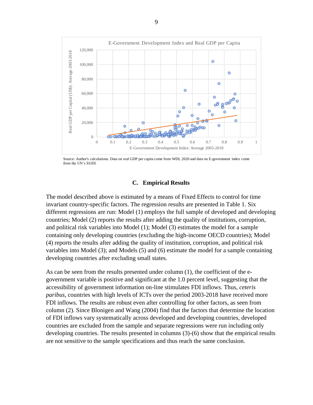

Source: Author's calculations. Data on real GDP per capita come from WDI, 2020 and data on E-government index come from the UN's EGDI.

#### **C. Empirical Results**

<span id="page-8-0"></span>The model described above is estimated by a means of Fixed Effects to control for time invariant country-specific factors. The regression results are presented in Table 1. Six different regressions are run: Model (1) employs the full sample of developed and developing countries; Model (2) reports the results after adding the quality of institutions, corruption, and political risk variables into Model (1); Model (3) estimates the model for a sample containing only developing countries (excluding the high-income OECD countries); Model (4) reports the results after adding the quality of institution, corruption, and political risk variables into Model (3); and Models (5) and (6) estimate the model for a sample containing developing countries after excluding small states.

As can be seen from the results presented under column (1), the coefficient of the egovernment variable is positive and significant at the 1.0 percent level, suggesting that the accessibility of government information on-line stimulates FDI inflows. Thus, *ceteris paribus*, countries with high levels of ICTs over the period 2003-2018 have received more FDI inflows. The results are robust even after controlling for other factors, as seen from column (2). Since Blonigen and Wang (2004) find that the factors that determine the location of FDI inflows vary systematically across developed and developing countries, developed countries are excluded from the sample and separate regressions were run including only developing countries. The results presented in columns (3)-(6) show that the empirical results are not sensitive to the sample specifications and thus reach the same conclusion.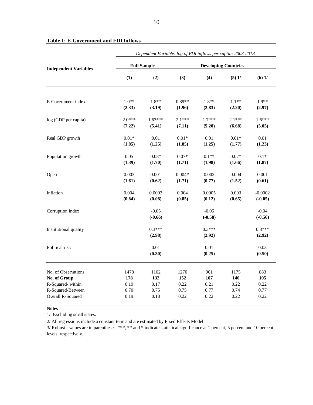|                                                            | Dependent Variable: log of FDI inflows per captia: 2003-2018 |                      |                      |                             |                      |                        |  |  |  |
|------------------------------------------------------------|--------------------------------------------------------------|----------------------|----------------------|-----------------------------|----------------------|------------------------|--|--|--|
| <b>Independent Variables</b>                               |                                                              | <b>Full Sample</b>   |                      | <b>Developing Countries</b> |                      |                        |  |  |  |
|                                                            | (1)                                                          | (2)                  | (3)                  | (4)                         | $(5)$ 1/             | $(6)$ 1/               |  |  |  |
| E-Government index                                         | $1.0**$                                                      | $1.8**$              | $0.89**$             | $1.8**$                     | $1.1**$              | $1.9**$                |  |  |  |
|                                                            | (2.33)                                                       | (3.19)               | (1.96)               | (2.83)                      | (2.20)               | (2.97)                 |  |  |  |
| log (GDP per capita)                                       | $2.0***$<br>(7.22)                                           | $1.63***$<br>(5.41)  | $2.1***$<br>(7.11)   | $1.7***$<br>(5.20)          | $2.1***$<br>(6.68)   | $1.6***$<br>(5.05)     |  |  |  |
| Real GDP growth                                            | $0.01*$<br>(1.85)                                            | 0.01<br>(1.25)       | $0.01*$<br>(1.85)    | 0.01<br>(1.25)              | $0.01*$<br>(1.77)    | 0.01<br>(1.23)         |  |  |  |
| Population growth                                          | 0.05<br>(1.39)                                               | $0.08*$<br>(1.70)    | $0.07*$<br>(1.71)    | $0.1**$<br>(1.98)           | $0.07*$<br>(1.66)    | $0.1*$<br>(1.87)       |  |  |  |
| Open                                                       | 0.003<br>(1.61)                                              | 0.001<br>(0.62)      | $0.004*$<br>(1.71)   | 0.002<br>(0.77)             | 0.004<br>(1.52)      | 0.001<br>(0.61)        |  |  |  |
| Inflation                                                  | 0.004<br>(0.84)                                              | 0.0003<br>(0.08)     | 0.004<br>(0.85)      | 0.0005<br>(0.12)            | 0.003<br>(0.65)      | $-0.0002$<br>$(-0.05)$ |  |  |  |
| Corruption index                                           |                                                              | $-0.05$<br>$(-0.66)$ |                      | $-0.05$<br>$(-0.58)$        |                      | $-0.04$<br>$(-0.56)$   |  |  |  |
| Institutional quality                                      |                                                              | $0.3***$<br>(2.98)   |                      | $0.3***$<br>(2.92)          |                      | $0.3***$<br>(2.92)     |  |  |  |
| Political risk                                             |                                                              | 0.01<br>(0.30)       |                      | 0.01<br>(0.25)              |                      | 0.03<br>(0.50)         |  |  |  |
| No. of Observations<br>No. of Group                        | 1478<br>178                                                  | 1102<br>132          | 1270<br>152          | 901<br>107                  | 1175<br>140          | 883<br>105             |  |  |  |
| R-Squared-within<br>R-Squared-Between<br>Overall R-Squared | 0.19<br>0.70<br>0.19                                         | 0.17<br>0.75<br>0.18 | 0.22<br>0.75<br>0.22 | 0.21<br>0.77<br>0.22        | 0.22<br>0.74<br>0.22 | 0.22<br>0.77<br>0.22   |  |  |  |
|                                                            |                                                              |                      |                      |                             |                      |                        |  |  |  |

#### **Table 1: E-Government and FDI Inflows**

#### **Notes**

1/ Excluding small states.

2/ All regressions include a constant term and are estimated by Fixed Effects Model.

3/ Robust t-values are in parentheses. \*\*\*, \*\* and \* indicate statistical significance at 1 percent, 5 percent and 10 percent levels, respectively.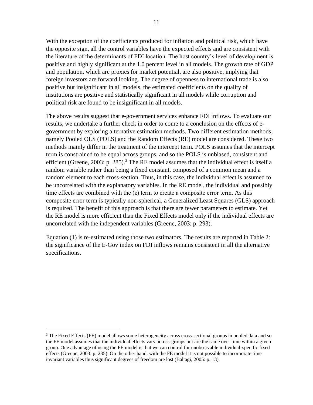With the exception of the coefficients produced for inflation and political risk, which have the opposite sign, all the control variables have the expected effects and are consistent with the literature of the determinants of FDI location. The host country's level of development is positive and highly significant at the 1.0 percent level in all models. The growth rate of GDP and population, which are proxies for market potential, are also positive, implying that foreign investors are forward looking. The degree of openness to international trade is also positive but insignificant in all models. the estimated coefficients on the quality of institutions are positive and statistically significant in all models while corruption and political risk are found to be insignificant in all models.

The above results suggest that e-government services enhance FDI inflows. To evaluate our results, we undertake a further check in order to come to a conclusion on the effects of egovernment by exploring alternative estimation methods. Two different estimation methods; namely Pooled OLS (POLS) and the Random Effects (RE) model are considered. These two methods mainly differ in the treatment of the intercept term. POLS assumes that the intercept term is constrained to be equal across groups, and so the POLS is unbiased, consistent and efficient (Greene, 2003: p. 285).<sup>3</sup> The RE model assumes that the individual effect is itself a random variable rather than being a fixed constant, composed of a common mean and a random element to each cross-section. Thus, in this case, the individual effect is assumed to be uncorrelated with the explanatory variables. In the RE model, the individual and possibly time effects are combined with the  $(\epsilon)$  term to create a composite error term. As this composite error term is typically non-spherical, a Generalized Least Squares (GLS) approach is required. The benefit of this approach is that there are fewer parameters to estimate. Yet the RE model is more efficient than the Fixed Effects model only if the individual effects are uncorrelated with the independent variables (Greene, 2003: p. 293).

Equation (1) is re-estimated using those two estimators. The results are reported in Table 2: the significance of the E-Gov index on FDI inflows remains consistent in all the alternative specifications.

<sup>&</sup>lt;sup>3</sup> The Fixed Effects (FE) model allows some heterogeneity across cross-sectional groups in pooled data and so the FE model assumes that the individual effects vary across-groups but are the same over time within a given group. One advantage of using the FE model is that we can control for unobservable individual-specific fixed effects (Greene, 2003: p. 285). On the other hand, with the FE model it is not possible to incorporate time invariant variables thus significant degrees of freedom are lost (Baltagi, 2005: p. 13).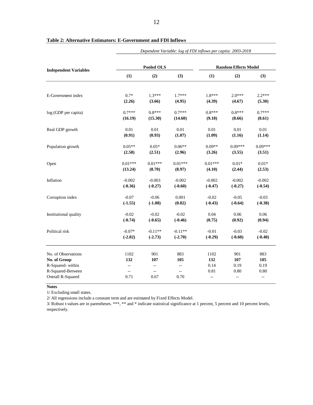|                              | Dependent Variable: log of FDI inflows per captia: 2003-2018 |            |                |                             |           |           |  |  |  |  |
|------------------------------|--------------------------------------------------------------|------------|----------------|-----------------------------|-----------|-----------|--|--|--|--|
|                              |                                                              | Pooled OLS |                | <b>Random Effects Model</b> |           |           |  |  |  |  |
| <b>Independent Variables</b> | (1)                                                          | (2)        | (3)            | (1)                         | (2)       | (3)       |  |  |  |  |
| E-Government index           | $0.7*$                                                       | $1.3***$   | $1.7***$       | $1.8***$                    | $2.0***$  | $2.2***$  |  |  |  |  |
|                              | (2.26)                                                       | (3.66)     | (4.95)         | (4.39)                      | (4.67)    | (5.30)    |  |  |  |  |
| log (GDP per capita)         | $0.7***$                                                     | $0.8***$   | $0.7***$       | $0.8***$                    | $0.8***$  | $0.7***$  |  |  |  |  |
|                              | (16.19)                                                      | (15.30)    | (14.60)        | (9.18)                      | (8.66)    | (8.61)    |  |  |  |  |
| Real GDP growth              | 0.01                                                         | 0.01       | 0.01           | 0.01                        | 0.01      | 0.01      |  |  |  |  |
|                              | (0.91)                                                       | (0.93)     | (1.07)         | (1.09)                      | (1.16)    | (1.14)    |  |  |  |  |
| Population growth            | $0.05**$                                                     | $0.05*$    | $0.06**$       | $0.09**$                    | $0.09***$ | $0.09***$ |  |  |  |  |
|                              | (2.58)                                                       | (2.51)     | (2.96)         | (3.26)                      | (3.55)    | (3.51)    |  |  |  |  |
| Open                         | $0.01***$                                                    | $0.01***$  | $0.01***$      | $0.01***$                   | $0.01*$   | $0.01*$   |  |  |  |  |
|                              | (13.24)                                                      | (8.70)     | (8.97)         | (4.10)                      | (2.44)    | (2.53)    |  |  |  |  |
| Inflation                    | $-0.002$                                                     | $-0.003$   | $-0.002$       | $-0.002$                    | $-0.002$  | $-0.002$  |  |  |  |  |
|                              | $(-0.36)$                                                    | $(-0.27)$  | $(-0.60)$      | $(-0.47)$                   | $(-0.27)$ | $(-0.54)$ |  |  |  |  |
| Corruption index             | $-0.07$                                                      | $-0.06$    | 0.001          | $-0.02$                     | $-0.05$   | $-0.03$   |  |  |  |  |
|                              | $(-1.55)$                                                    | $(-1.08)$  | (0.02)         | $(-0.43)$                   | $(-0.64)$ | $(-0.38)$ |  |  |  |  |
| Institutional quality        | $-0.02$                                                      | $-0.02$    | $-0.02$        | 0.04                        | 0.06      | 0.06      |  |  |  |  |
|                              | $(-0.74)$                                                    | $(-0.65)$  | $(-0.46)$      | (0.75)                      | (0.92)    | (0.94)    |  |  |  |  |
| Political risk               | $-0.07*$                                                     | $-0.11**$  | $-0.11**$      | $-0.01$                     | $-0.03$   | $-0.02$   |  |  |  |  |
|                              | $(-2.02)$                                                    | $(-2.73)$  | $(-2.70)$      | $(-0.29)$                   | $(-0.60)$ | $(-0.40)$ |  |  |  |  |
| No. of Observations          | 1102                                                         | 901        | 883            | 1102                        | 901       | 883       |  |  |  |  |
| No. of Group                 | 132                                                          | 107        | 105            | 132                         | 107       | 105       |  |  |  |  |
| R-Squared-within             | $ \!-$                                                       | $-$        | $-$            | 0.14                        | 0.19      | 0.19      |  |  |  |  |
| R-Squared-Between            | Ξ.                                                           | L.         | $\overline{a}$ | 0.81                        | 0.80      | 0.80      |  |  |  |  |
| Overall R-Squared            | 0.71                                                         | 0.67       | 0.70           | $\overline{\phantom{a}}$    | --        | --        |  |  |  |  |

**Notes** 

1/ Excluding small states.

2/ All regressions include a constant term and are estimated by Fixed Effects Model.

3/ Robust t-values are in parentheses. \*\*\*, \*\* and \* indicate statistical significance at 1 percent, 5 percent and 10 percent levels, respectively.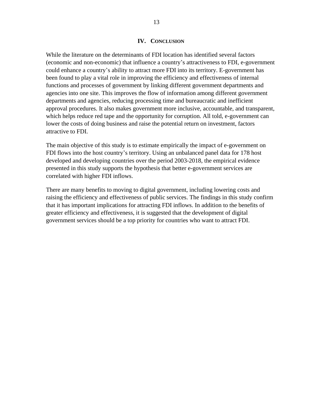<span id="page-12-0"></span>While the literature on the determinants of FDI location has identified several factors (economic and non-economic) that influence a country's attractiveness to FDI, e-government could enhance a country's ability to attract more FDI into its territory. E-government has been found to play a vital role in improving the efficiency and effectiveness of internal functions and processes of government by linking different government departments and agencies into one site. This improves the flow of information among different government departments and agencies, reducing processing time and bureaucratic and inefficient approval procedures. It also makes government more inclusive, accountable, and transparent, which helps reduce red tape and the opportunity for corruption. All told, e-government can lower the costs of doing business and raise the potential return on investment, factors attractive to FDI.

The main objective of this study is to estimate empirically the impact of e-government on FDI flows into the host country's territory. Using an unbalanced panel data for 178 host developed and developing countries over the period 2003-2018, the empirical evidence presented in this study supports the hypothesis that better e-government services are correlated with higher FDI inflows.

There are many benefits to moving to digital government, including lowering costs and raising the efficiency and effectiveness of public services. The findings in this study confirm that it has important implications for attracting FDI inflows. In addition to the benefits of greater efficiency and effectiveness, it is suggested that the development of digital government services should be a top priority for countries who want to attract FDI.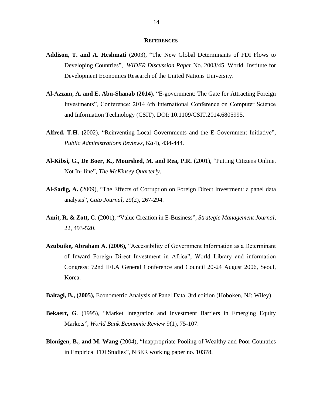#### **REFERENCES**

- <span id="page-13-0"></span>**Addison, T. and A. Heshmati** (2003), "The New Global Determinants of FDI Flows to Developing Countries", *WIDER Discussion Paper* No. 2003/45, World Institute for Development Economics Research of the United Nations University.
- **Al-Azzam, A. and E. Abu-Shanab (2014),** "E-government: The Gate for Attracting Foreign Investments", Conference: 2014 6th International Conference on Computer Science and Information Technology (CSIT), DOI: 10.1109/CSIT.2014.6805995.
- **Alfred, T.H. (**2002), "Reinventing Local Governments and the E-Government Initiative", *Public Administrations Reviews*, 62(4), 434-444.
- **Al-Kibsi, G., De Boer, K., Mourshed, M. and Rea, P.R. (**2001), "Putting Citizens Online, Not In- line", *The McKinsey Quarterly*.
- **Al-Sadig, A. (**2009), "The Effects of Corruption on Foreign Direct Investment: a panel data analysis", *Cato Journal*, 29(2), 267-294.
- **Amit, R. & Zott, C**. (2001), "Value Creation in E-Business", *Strategic Management Journal*, 22, 493-520.
- **Azubuike, Abraham A. (2006),** "Accessibility of Government Information as a Determinant of Inward Foreign Direct Investment in Africa", World Library and information Congress: 72nd IFLA General Conference and Council 20-24 August 2006, Seoul, Korea.

**Baltagi, B., (2005),** Econometric Analysis of Panel Data, 3rd edition (Hoboken, NJ: Wiley).

- **Bekaert, G**. (1995), "Market Integration and Investment Barriers in Emerging Equity Markets", *World Bank Economic Review* 9(1), 75-107.
- **Blonigen, B., and M. Wang** (2004), "Inappropriate Pooling of Wealthy and Poor Countries in Empirical FDI Studies", NBER working paper no. 10378.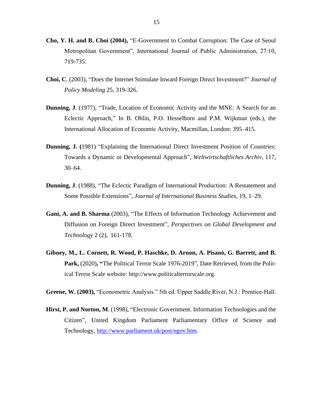- **Cho, Y. H. and B. Choi (2004),** "E-Government to Combat Corruption: The Case of Seoul Metropolitan Government", International Journal of Public Administration, 27:10, 719-735.
- **Choi, C**. (2003), "Does the Internet Stimulate Inward Foreign Direct Investment?" *Journal of Policy Modeling* 25, 319-326.
- **Dunning, J**. (1977), "Trade, Location of Economic Activity and the MNE: A Search for an Eclectic Approach," In B. Ohlin, P.O. Hesselborn and P.M. Wijkman (eds.), the International Allocation of Economic Activity, Macmillan, London: 395–415.
- **Dunning, J. (**1981) "Explaining the International Direct Investment Position of Countries: Towards a Dynamic or Developmental Approach", *Weltwirtschaftliches Archiv*, 117, 30–64.
- **Dunning, J**. (1988), "The Eclectic Paradigm of International Production: A Restatement and Some Possible Extensions", *Journal of International Business Studies*, 19, 1–29.
- **Gani, A. and B. Sharma** (2003), "The Effects of Information Technology Achievement and Diffusion on Foreign Direct Investment", *Perspectives on Global Development and Technology* 2 (2), 161-178.
- **Gibney, M., L. Cornett, R. Wood, P. Haschke, D. Arnon, A. Pisanò, G. Barrett, and B. Park,** (2020)**, "**The Political Terror Scale 1976-2019", Date Retrieved, from the Political Terror Scale website: http://www.politicalterrorscale.org.

**Greene, W. (2003),** "Econometric Analysis." 5th ed. Upper Saddle River, N.J.: Prentice-Hall.

**Hirst, P. and Norton, M**. (1998), "Electronic Government. Information Technologies and the Citizen", United Kingdom Parliament Parliamentary Office of Science and Technology,<http://www.parliament.uk/post/egov.htm>*.*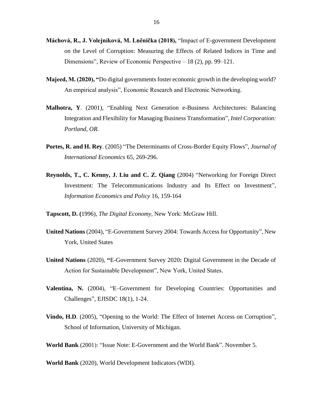- **Máchová, R., J. Volejníková, M. Lněnička (2018),** "Impact of E-government Development on the Level of Corruption: Measuring the Effects of Related Indices in Time and Dimensions", Review of Economic Perspective – 18 (2), pp. 99–121.
- **Majeed, M. (2020), "**Do digital governments foster economic growth in the developing world? An empirical analysis", Economic Research and Electronic Networking.
- **Malhotra, Y**. (2001), "Enabling Next Generation e-Business Architectures: Balancing Integration and Flexibility for Managing Business Transformation", *Intel Corporation: Portland, OR.*
- **Portes, R. and H. Rey**. (2005) "The Determinants of Cross-Border Equity Flows", *Journal of International Economics* 65, 269-296.
- **Reynolds, T., C. Kenny, J. Liu and C. Z. Qiang** (2004) "Networking for Foreign Direct Investment: The Telecommunications Industry and Its Effect on Investment", *Information Economics and Policy* 16, 159-164

**Tapscott, D. (**1996), *The Digital Economy*, New York: McGraw Hill.

- **United Nations** (2004), "E-Government Survey 2004: Towards Access for Opportunity", New York, United States
- **United Nations** (2020), **"**E-Government Survey 2020**:** Digital Government in the Decade of Action for Sustainable Development", New York, United States.
- **Valentina, N.** (2004), "E–Government for Developing Countries: Opportunities and Challenges", EJISDC 18(1), 1-24.
- **Vindo, H.D**. (2005), "Opening to the World: The Effect of Internet Access on Corruption", School of Information, University of Michigan.

**World Bank** (2001): "Issue Note: E-Government and the World Bank". November 5.

**World Bank** (2020), World Development Indicators (WDI).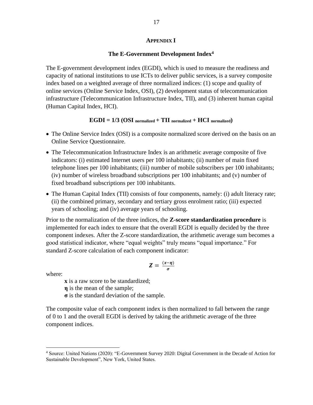#### **APPENDIX I**

#### **The E-Government Development Index<sup>4</sup>**

<span id="page-16-0"></span>The E-government development index (EGDI), which is used to measure the readiness and capacity of national institutions to use ICTs to deliver public services, is a survey composite index based on a weighted average of three normalized indices: (1) scope and quality of online services (Online Service Index, OSI), (2) development status of telecommunication infrastructure (Telecommunication Infrastructure Index, TII), and (3) inherent human capital (Human Capital Index, HCI).

#### $EGDI = 1/3$   $(OSI$  normalized  $+ TII$  normalized  $+ HCI$  normalized)

- The Online Service Index (OSI) is a composite normalized score derived on the basis on an Online Service Questionnaire.
- The Telecommunication Infrastructure Index is an arithmetic average composite of five indicators: (i) estimated Internet users per 100 inhabitants; (ii) number of main fixed telephone lines per 100 inhabitants; (iii) number of mobile subscribers per 100 inhabitants; (iv) number of wireless broadband subscriptions per 100 inhabitants; and (v) number of fixed broadband subscriptions per 100 inhabitants.
- The Human Capital Index (TII) consists of four components, namely: (i) adult literacy rate; (ii) the combined primary, secondary and tertiary gross enrolment ratio; (iii) expected years of schooling; and (iv) average years of schooling.

Prior to the normalization of the three indices, the **Z-score standardization procedure** is implemented for each index to ensure that the overall EGDI is equally decided by the three component indexes. After the Z-score standardization, the arithmetic average sum becomes a good statistical indicator, where "equal weights" truly means "equal importance." For standard Z-score calculation of each component indicator:

$$
Z=\frac{(x-\eta)}{\sigma}
$$

where:

**x** is a raw score to be standardized;

**η** is the mean of the sample;

**σ** is the standard deviation of the sample.

The composite value of each component index is then normalized to fall between the range of 0 to 1 and the overall EGDI is derived by taking the arithmetic average of the three component indices.

<sup>4</sup> Source: United Nations (2020): "E-Government Survey 2020: Digital Government in the Decade of Action for Sustainable Development", New York, United States.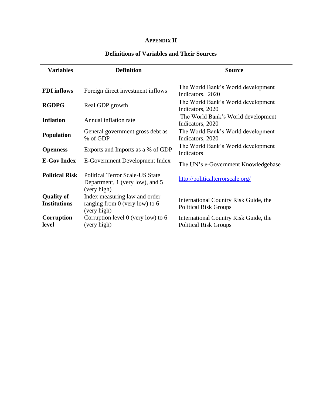## **APPENDIX II**

### **Definitions of Variables and Their Sources**

<span id="page-17-0"></span>

| <b>Variables</b>                         | <b>Definition</b>                                                                        | <b>Source</b>                                                         |
|------------------------------------------|------------------------------------------------------------------------------------------|-----------------------------------------------------------------------|
| <b>FDI</b> inflows                       | Foreign direct investment inflows                                                        | The World Bank's World development<br>Indicators, 2020                |
| <b>RGDPG</b>                             | Real GDP growth                                                                          | The World Bank's World development<br>Indicators, 2020                |
| <b>Inflation</b>                         | Annual inflation rate                                                                    | The World Bank's World development<br>Indicators, 2020                |
| <b>Population</b>                        | General government gross debt as<br>% of GDP                                             | The World Bank's World development<br>Indicators, 2020                |
| <b>Openness</b>                          | Exports and Imports as a % of GDP                                                        | The World Bank's World development<br>Indicators                      |
| <b>E-Gov Index</b>                       | E-Government Development Index                                                           | The UN's e-Government Knowledgebase                                   |
| <b>Political Risk</b>                    | <b>Political Terror Scale-US State</b><br>Department, 1 (very low), and 5<br>(very high) | http://politicalterrorscale.org/                                      |
| <b>Quality of</b><br><b>Institutions</b> | Index measuring law and order<br>ranging from $0$ (very low) to $6$<br>(very high)       | International Country Risk Guide, the<br><b>Political Risk Groups</b> |
| Corruption<br>level                      | Corruption level $0$ (very low) to $6$<br>(very high)                                    | International Country Risk Guide, the<br><b>Political Risk Groups</b> |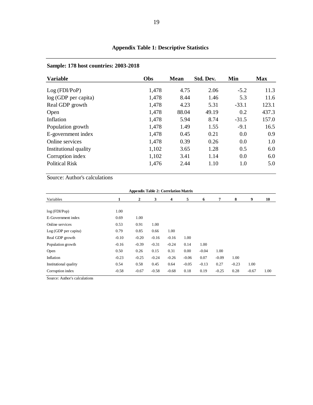| <b>Variable</b>       | Obs   | <b>Mean</b> | Std. Dev. | Min     | <b>Max</b> |
|-----------------------|-------|-------------|-----------|---------|------------|
| Log (FDI/PoP)         | 1,478 | 4.75        | 2.06      | $-5.2$  | 11.3       |
| log (GDP per capita)  | 1,478 | 8.44        | 1.46      | 5.3     | 11.6       |
| Real GDP growth       | 1,478 | 4.23        | 5.31      | $-33.1$ | 123.1      |
| Open                  | 1,478 | 88.04       | 49.19     | 0.2     | 437.3      |
| Inflation             | 1,478 | 5.94        | 8.74      | $-31.5$ | 157.0      |
| Population growth     | 1,478 | 1.49        | 1.55      | $-9.1$  | 16.5       |
| E-government index    | 1,478 | 0.45        | 0.21      | 0.0     | 0.9        |
| Online services       | 1,478 | 0.39        | 0.26      | 0.0     | 1.0        |
| Institutional quality | 1,102 | 3.65        | 1.28      | 0.5     | 6.0        |
| Corruption index      | 1,102 | 3.41        | 1.14      | 0.0     | 6.0        |
| <b>Political Risk</b> | 1,476 | 2.44        | 1.10      | 1.0     | 5.0        |

## **Sample: 178 host countries: 2003-2018**

Source: Author's calculations

| <b>Appendix Table 2: Correlation Matrix</b> |         |         |         |         |         |         |         |         |         |      |  |  |  |
|---------------------------------------------|---------|---------|---------|---------|---------|---------|---------|---------|---------|------|--|--|--|
| Variables                                   |         | 2       | 3       | 4       | 5       | 6       | 7       | 8       | 9       | 10   |  |  |  |
|                                             |         |         |         |         |         |         |         |         |         |      |  |  |  |
| log(FDI/Pop)                                | 1.00    |         |         |         |         |         |         |         |         |      |  |  |  |
| E-Government index                          | 0.69    | 1.00    |         |         |         |         |         |         |         |      |  |  |  |
| Online services                             | 0.53    | 0.91    | 1.00    |         |         |         |         |         |         |      |  |  |  |
| Log(GDP per capita)                         | 0.79    | 0.85    | 0.66    | 1.00    |         |         |         |         |         |      |  |  |  |
| Real GDP growth                             | $-0.10$ | $-0.20$ | $-0.16$ | $-0.16$ | 1.00    |         |         |         |         |      |  |  |  |
| Population growth                           | $-0.16$ | $-0.39$ | $-0.31$ | $-0.24$ | 0.14    | 1.00    |         |         |         |      |  |  |  |
| Open                                        | 0.50    | 0.26    | 0.15    | 0.31    | 0.00    | $-0.04$ | 1.00    |         |         |      |  |  |  |
| Inflation                                   | $-0.23$ | $-0.25$ | $-0.24$ | $-0.26$ | $-0.06$ | 0.07    | $-0.09$ | 1.00    |         |      |  |  |  |
| Institutional quality                       | 0.54    | 0.58    | 0.45    | 0.64    | $-0.05$ | $-0.13$ | 0.27    | $-0.23$ | 1.00    |      |  |  |  |
| Corruption index                            | $-0.58$ | $-0.67$ | $-0.58$ | $-0.68$ | 0.18    | 0.19    | $-0.25$ | 0.28    | $-0.67$ | 1.00 |  |  |  |
| Source: Author's calculations               |         |         |         |         |         |         |         |         |         |      |  |  |  |